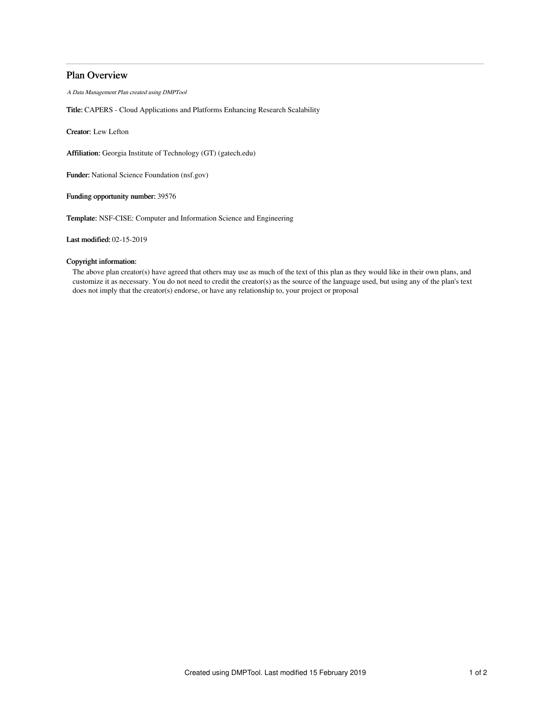# Plan Overview

A Data Management Plan created using DMPTool

Title: CAPERS - Cloud Applications and Platforms Enhancing Research Scalability

Creator: Lew Lefton

Affiliation: Georgia Institute of Technology (GT) (gatech.edu)

Funder: National Science Foundation (nsf.gov)

Funding opportunity number: 39576

Template: NSF-CISE: Computer and Information Science and Engineering

Last modified: 02-15-2019

## Copyright information:

The above plan creator(s) have agreed that others may use as much of the text of this plan as they would like in their own plans, and customize it as necessary. You do not need to credit the creator(s) as the source of the language used, but using any of the plan's text does not imply that the creator(s) endorse, or have any relationship to, your project or proposal